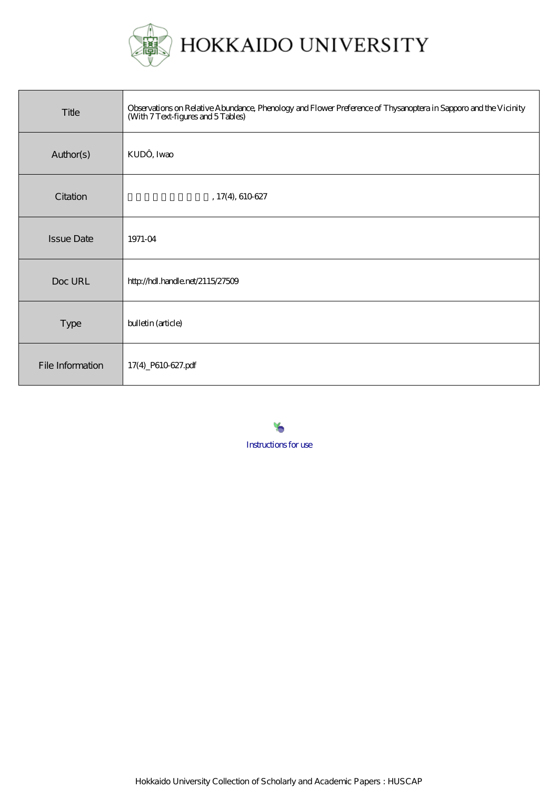

| Title             | Observations on Relative Abundance, Phenology and Flower Preference of Thysanoptera in Sapporo and the Vicinity<br>(With 7 Text-figures and 5 Tables) |
|-------------------|-------------------------------------------------------------------------------------------------------------------------------------------------------|
| Author(s)         | KUDÔ, Iwao                                                                                                                                            |
| Citation          | , 17(4), 610627                                                                                                                                       |
| <b>Issue Date</b> | 1971-04                                                                                                                                               |
| Doc URL           | http://hdl.handle.net/2115/27509                                                                                                                      |
| Type              | bulletin (article)                                                                                                                                    |
| File Information  | 17(4)_P610-627.pdf                                                                                                                                    |

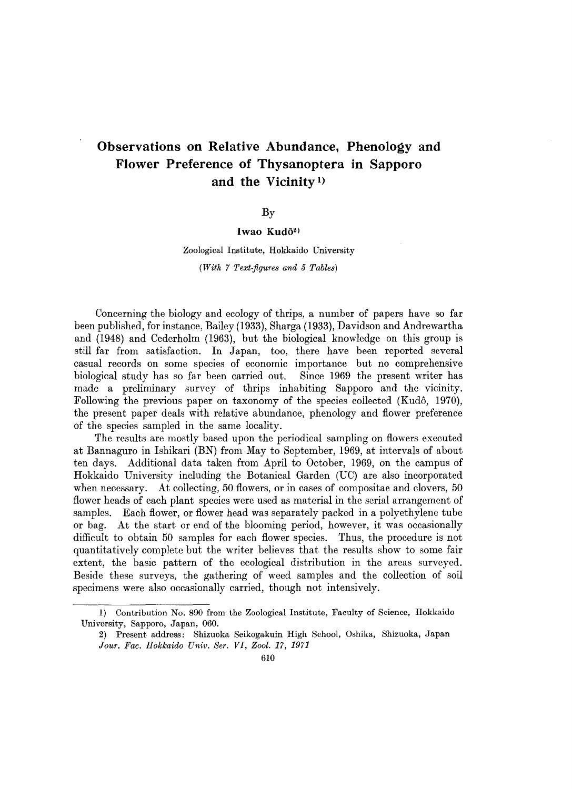# **Observations on Relative Abundance, Phenology and Flower Preference of Thysanoptera in Sapporo and the Vicinity 1)**

### By

## Iwao Kudô<sup>2)</sup>

## Zoological Institute, Hokkaido University

*(With* 7 *Text-figures and* 5 *Tables)* 

Concerning the biology and ecology of thrips, a number of papers have so far been published, for instance, Bailey (1933), Sharga (1933), Davidson and Andrewartha and (1948) and Cederholm (1963), but the biological knowledge on this group is still far from satisfaction. In Japan, too, there have been reported several casual records on some species of economic importance but no comprehensive biological study has so far been carried out. Since 1969 the present writer has made a preliminary survey of thrips inhabiting Sapporo and the vicinity. Following the previous paper on taxonomy of the species collected (Kudo, 1970), the present paper deals with relative abundance, phenology and flower preference of the species sampled in the same locality.

The results are mostly based upon the periodical sampling on flowers executed at Bannaguro in Ishikari (BN) from May to September, 1969, at intervals of about ten days. Additional data taken from April to October, 1969, on the campus of Hokkaido University including the Botanical Garden (UC) are also incorporated when necessary. At collecting, 50 flowers, or in cases of compositae and clovers, 50 flower heads of each plant species were used as material in the serial arrangement of samples. Each flower, or flower head was separately packed in a polyethylene tube or bag. At the start or end of the blooming period, however, it was occasionally difficult to obtain 50 samples for each flower species. Thus, the procedure is not quantitatively complete but the writer believes that the results show to some fair extent, the basic pattern of the ecological distribution in the areas surveyed. Beside these surveys, the gathering of weed samples and the collection of soil specimens were also occasionally carried, though not intensively.

<sup>1)</sup> Contribution No. 890 from the Zoological Institute, Faculty of Science, Hokkaido University, Sapporo, Japan, 060.

<sup>2)</sup> Present address: Shizuoka Seikogakuin High School, Oshika, Shizuoka, Japan *Jour. Fac. Hokkaido Univ. Ser. VI, Zool.* 17, 1971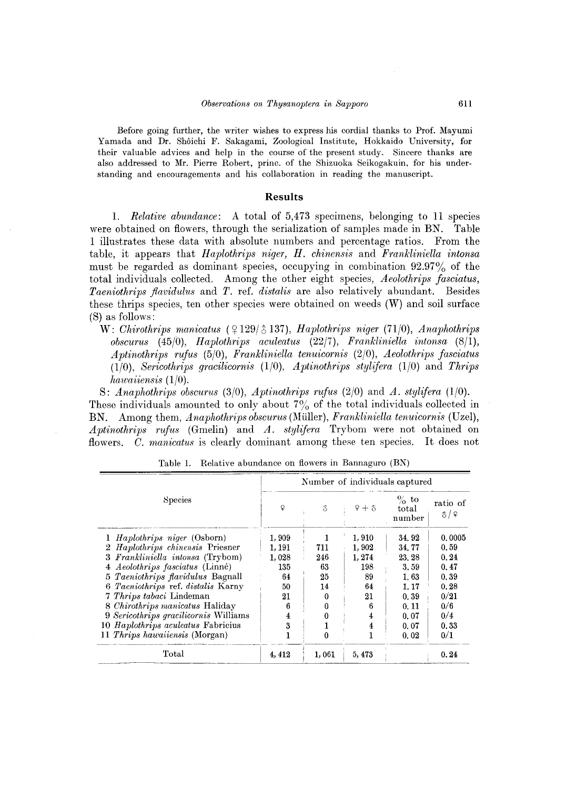Before going further, the writer wishes to express his cordial thanks to Prof. Mayumi Yamada and Dr. Sh6ichi F. Sakagami, Zoological Institute, Hokkaido University, for their valuable advices and help in the course of the present study. Sincere thanks are also addressed to Mr. Pierre Robert, princ. of the Shizuoka Seikogakuin, for his under· standing and encouragements and his collaboration in reading the manuscript.

#### **Results**

1. *Relative abundance*: A total of 5,473 specimens, belonging to 11 species were obtained on flowers, through the serialization of samples made in BN. Table 1 illustrates these data with absolute numbers and percentage ratios. From the table, it appears that *Haplothrips niger*, *H. chinensis* and *Frankliniella intonsa* must be regarded as dominant species, occupying in combination 92.97% of the total individuals collected. Among the other eight species, *Aeolothrips fasciatus, Taeniothrips flavidulus* and *T.* ref. *distalis* are also relatively abundant. Besides these thrips species, ten other species were obtained on weeds (W) and soil surface (8) as follows:

W: *Chirothrips manicatus* ( $\frac{9129}{\delta}$ 137), *Haplothrips niger* (71/0), *Anaphothrips obscurus* (45/0), *Haplothrips aculeatus* (22/7), *Fmnkliniella intonsa (8/1), Aptinothrips rufus* (5/0), *Frankliniella tenuicornis* (2/0), *Aeolothrips fasciatus (1(0), Sericothrips gracilicornis* (1(0), *Aptinothrips stylifera* (1/0) and *Thrips hawaiiensis (1/0).* 

8: *Anaphothrips obscurus* (3/0), *Aptinothrips rufus* (2/0) and *A. stylifera (1/0).*  These individuals amounted to only about  $7\%$  of the total individuals collected in BN. Among them, *Anaphothrips obscurus* (Muller), *Frankliniella tenuicornis* (Uzel), *Aptinothrips rufus* (Gmelin) and *A. stylifera* Trybom were not obtained on flowers. C. *manicatus* is clearly dominant among these ten species. It does not

|                                        |        |                |         | Number of individuals captured |                 |
|----------------------------------------|--------|----------------|---------|--------------------------------|-----------------|
| Species                                | ₽      | $\hat{\delta}$ | $9 + 3$ | $\%$ to<br>total<br>number     | ratio of<br>3/9 |
| 1 <i>Haplothrips niger</i> (Osborn)    | 1,909  |                | 1,910   | 34.92                          | 0.0005          |
| 2 Haplothrips chinensis Priesner       | 1, 191 | 711            | 1,902   | 34.77                          | 0.59            |
| 3 Frankliniella intonsa (Trybom)       | 1.028  | 246            | 1, 274  | 23.28                          | 0.24            |
| 4 <i>Aeolothrips fasciatus</i> (Linné) | 135    | 63             | 198     | 3.59                           | 0.47            |
| 5 Taeniothrips flavidulus Bagnall      | 64     | 25             | 89      | 1.63                           | 0.39            |
| 6 Taeniothrips ref. distalis Karny     | 50     | 14             | 64      | 1. 17                          | 0.28            |
| 7 Thrips tabaci Lindeman               | 21     |                | 21      | 0.39                           | 0/21            |
| 8 Chirothrips manicatus Haliday        | 6      |                | 6       | 0.11                           | 0/6             |
| 9 Sericothrips gracilicornis Williams  | 4      |                | 4       | 0.07                           | 0/4             |
| 10 Haplothrips aculeatus Fabricius     | 3      |                | 4       | 0.07                           | 0.33            |
| 11 Thrips hawaiiensis (Morgan)         |        | o              |         | 0.02                           | 0/1             |
| Total                                  | 4, 412 | 1,061          | 5, 473  |                                | 0.24            |

Table 1. Relative abundance on flowers in Bannaguro (BN)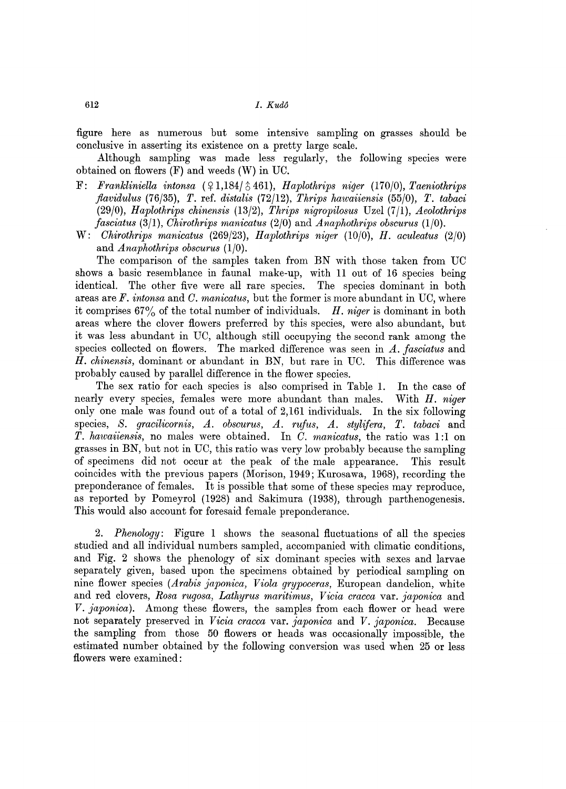figure here as numerous but some intensive sampling on grasses should be conclusive in asserting its existence on a pretty large scale.

Although sampling was made less regularly, the following species were obtained on flowers (F) and weeds (W) in UO.

- F: Frankliniella intonsa  $(91,184/3,461)$ , *Haplothrips niger*  $(170/0)$ , *Taeniothrips flavidulus* (76/35), *T.* ref. *distalis* (72/12), *Thrips hawaiiensis* (55/0), *T. tabaci (29/0), Haplothrips chinensis* (13/2), *Thrips nigropilosus* Uzel (7/1), *Aeolothrips fasciatus* (3/1), *Chirothrips manicatus* (2/0) and *Anaphothrips obscurus (1/0).*
- W: *Chirothrips manicatus* (269/23), *Haplothrips niger* (10/0), *H. aculeatus (2/0)*  and *Anaphothrips obscurus (1/0).*

The comparison of the samples taken from BN with those taken from UC shows a basic resemblance in faunal make-up, with 11 out of 16 species being identical. The other five were all rare species. The species dominant in both areas are *F. intonsa* and C. *manicatus,* but the former is more abundant in UO, where it comprises 67% of the total number of individuals. *H. niger* is dominant in both areas where the clover flowers preferred by this species, were also abundant, but it was less abundant in UO, although still occupying the second rank among the species collected on flowers. The marked difference was seen in *A. fasciatus* and *H. chinensis,* dominant or abundant in BN, but rare in UO. This difference was probably caused by parallel difference in the flower species.

The sex ratio for each species is also comprised in Table 1. **In** the case of nearly every species, females were more abundant than males. With *H. niger*  only one male was found out of a total of 2,161 individuals. **In** the six following species, *S. gracilicornis, A. obscurus, A. rufus, A. stylifera, T. tabaci* and *T. hawaiiensis,* no males were obtained. **In** C. *manicatus,* the ratio was 1:1 on grasses in BN, but not in UO, this ratio was very low probably because the sampling of specimens did not occur at the peak of the male appearance. This result coincides with the previous papers (Morison, 1949; Kurosawa, 1968), recording the preponderance of females. It is possible that some of these species may reproduce, as reported by Pomeyrol (1928) and Sakimura (1938), through parthenogenesis. This would also account for foresaid female preponderance.

2. *Phenology:* Figure 1 shows the seasonal fluctuations of all the species studied and all individual numbers sampled, accompanied with climatic conditions, and Fig. 2 shows the phenology of six dominant species with sexes and larvae separately given, based upon the specimens obtained by periodical sampling on nine flower species *(Arabis y'aponica, Viola grypoceras,* European dandelion, white and red clovers, *Rosa rugosa, Lathyrus maritimus, Vicia cracca* var. *y'aponica* and *V. y'aponica).* Among these flowers, the samples from each flower or head were not separately preserved in *Vicia cracca* var. *y'aponica* and *V. y'aponica.* Because the sampling from those 50 flowers or heads was occasionally impossible, the estimated number obtained by the following conversion was used when 25 or less flowers were examined: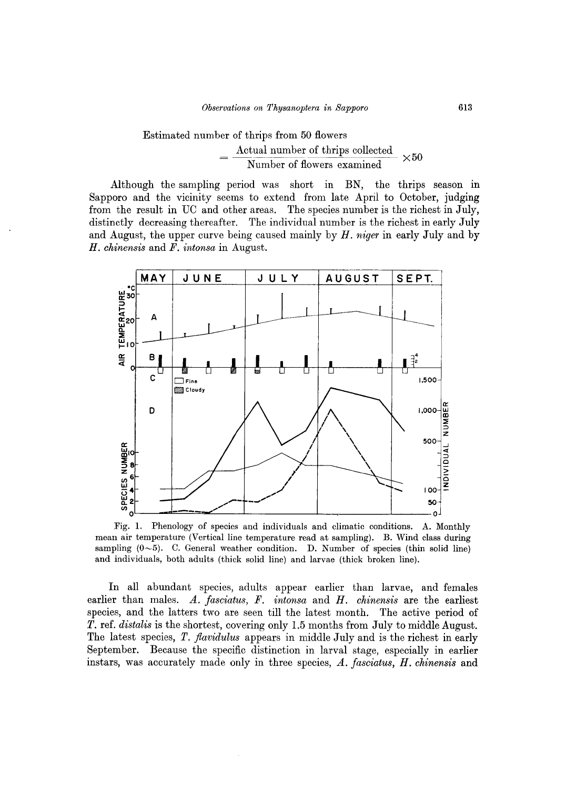#### Estimated number of thrips from 50 flowers Actual number of thrips collected Number of flowers examined  $\times 50$

Although the sampling period was short in BN, the thrips season in Sapporo and the vicinity seems to extend from late April to October, judging from the result in UC and other areas. The species number is the richest in July, distinctly decreasing thereafter. The individual number is the richest in early July and August, the upper curve being caused mainly by *H. niger* in early July and by *H. chinensis* and *F. intonsa* in August.



Fig. 1. Phenology of species and individuals and climatic conditions. A. Monthly mean air temperature (Vertical line temperature read at sampling). B. Wind class during sampling  $(0~5)$ . C. General weather condition. D. Number of species (thin solid line) and individuals, both adults (thick solid line) and larvae (thick broken line).

In all abundant species, adults appear earlier than larvae, and females earlier than males. *A. fasciatus, F. intonsa* and *H. chinensis* are the earliest species, and the latters two are seen till the latest month. The active period of *T.* ref. *distalis* is the shortest, covering only 1.5 months from July to middle August. The latest species, *T. jlavidulus* appears in middle July and is the richest in early September. Because the specific distinction in larval stage, especially in earlier instars, was accurately made only in three species, *A. fasciatus, H. chinensis* and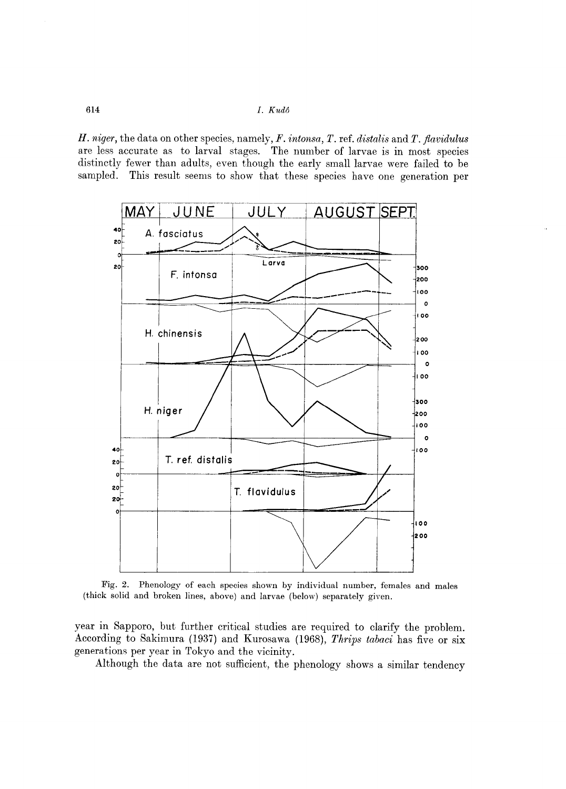614 *I. Kudo* 

*H. niger,* the data on other species, namely, *F. intonsa, T.* ref. *distalis* and *T. jlavidulus*  are less accurate as to larval stages. The number of larvae is in most species distinctly fewer than adults, even though the early small larvae were failed to be sampled. This result seems to show that these species have one generation per



Fig. 2. Phenology of each species shown by individual number, females and males (thick solid and broken lines, above) and larvae (below) separately given.

year in Sapporo, but further critical studies are required to clarify the problem. According to Sakimura (1937) and Kurosawa (1968), *Thrips tabaci* has five or six generations per year in Tokyo and the vicinity.

Although the data are not sufficient, the phenology shows a similar tendency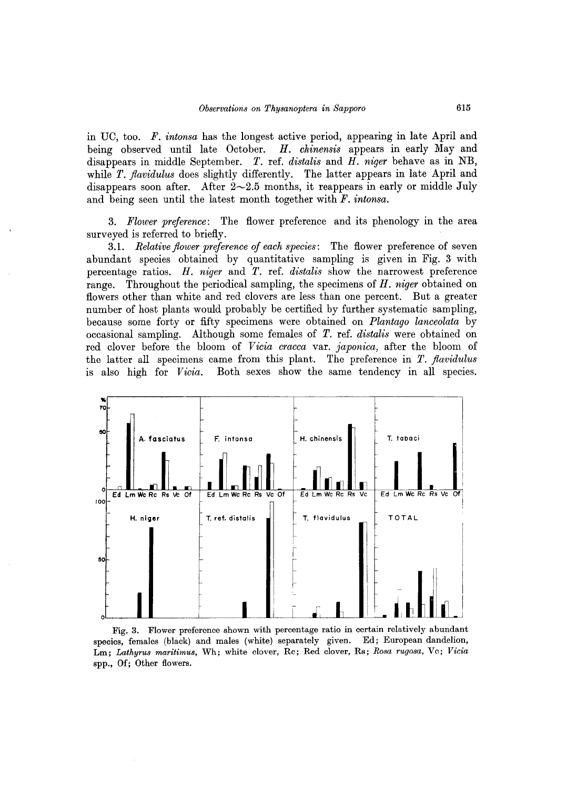in UC, too. *F. intonsa* has the longest active period, appearing in late April and being observed until late October. *H. chinensis* appears in early May and disappears in middle September. *T.* ref. *distalis* and *H. niger* behave as in NB, while *T. flavidulus* does slightly differently. The latter appears in late April and disappears soon after. After  $2{\sim}2.5$  months, it reappears in early or middle July and being seen until the latest month together with *F. intonsa.* 

*3. Flower preference:* The flower preference and its phenology in the area surveyed is referred to briefly.

*3.1. Relative jlower preference of each species:* The flower preference of seven abundant species obtained by quantitative sampling is given in Fig. 3 with percentage ratios. *H. niger* and *T.* ref. *distalis* show the narrowest preference range. Throughout the periodical sampling, the specimens of *H. niger* obtained on flowers other than white and red clovers are less than one percent. But a greater number of host plants would probably be certified by further systematic sampling, because some forty or fifty specimens were obtained on *Plantago lanceolata* by occasional sampling. Although some females of *T.* ref. *distalis* were obtained on red clover before the bloom of *V icia cracca* var. *japonica,* after the bloom of the latter all specimens came from this plant. The preference in *T. jlavidulus*  is also high for *Vicia*. Both sexes show the same tendency in all species.



Fig. 3. Flower preference shown with percentage ratio in certain relatively abundant species, females (black) and males (white) separately given. Ed; European dandelion, Lm; *Lathyru8 maritimu8,* Wh; white clover, Rc; Red clover, Rs; *R08a rugo8a,* Vc; *Vicia*  spp., Of; Other flowers.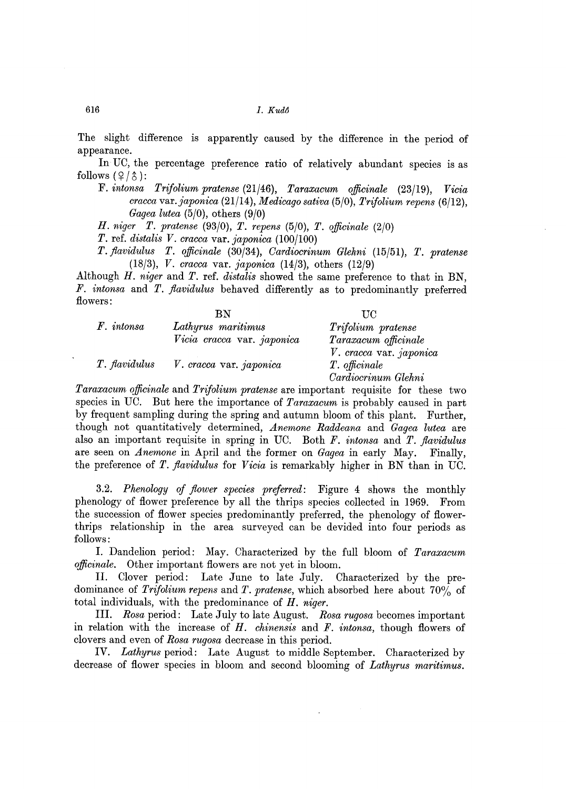The slight difference is apparently caused by the difference in the period of appearance.

In UC, the percentage preference ratio of relatively abundant species is as follows  $(2/\lambda)$ :

F. *intonsa Trifolium pratense* (21/46), *Taraxacum officinale* (23/19), *Vicia cracca var.japonica* (21/14), *Medicago sativa* (5/0), *Trifolium repens (6/12), Gagea lutea* (5/0), others (9/0)

*H. niger T. pratense* (93/0), *T. repens* (5/0), *T. officinale (2/0)* 

*T.* ref. *distalis V. cracca* var. *japonica (100/100)* 

*T. flavidulus T. officinale* (30/34), *Oardiocrinum Glehni* (15/51), *T. pratense (18/3), V. cracca* var. *japonica* (14/3), others (12/9)

Although *H. niger* and *T.* ref. *distalis* showed the same preference to that in BN, *F. intonsa* and *T. flavidulus* behaved differently as to predominantly preferred flowers:  $\overline{a}$ 

|               | ВN                         | TIC.                    |
|---------------|----------------------------|-------------------------|
| $F.$ intonsa  | Lathyrus maritimus         | Trifolium pratense      |
|               | Vicia cracca var. japonica | Taraxacum officinale    |
|               |                            | V. cracca var. japonica |
| T. flavidulus | V. cracca var. japonica    | T. officinale           |
|               |                            | Cardiocrinum Glehni     |

*Taraxacum officinale* and *Trifolium pratense* are important requisite for these two species in UC. But here the importance of *Taraxacum* is probably caused in part by frequent sampling during the spring and autumn bloom of this plant. Further, though not quantitatively determined, *Anemone Raddeana* and *Gagea lutea* are also an important requisite in spring in UC. Both *F. intonsa* and *T. jlavidulus*  are seen on *Anemone* in April and the former on *Gagea* in early May. Finally, the preference of *T. flavidulus* for *Vicia* is remarkably higher in BN than in UC.

*3.2. Phenology of flower species preferred:* Figure 4 shows the monthly phenology of flower preference by all the thrips species collected in 1969. From the succession of flower species predominantly preferred, the phenology of flowerthrips relationship in the area surveyed can be devided into four periods as follows:

I. Dandelion period: May. Characterized by the full bloom of *Taraxacum officinale.* Other important flowers are not yet in bloom.

II. Clover period: Late June to late July. Characterized by the predominance of *Trifolium repens* and *T. pratense,* which absorbed here about 70% of total individuals, with the predominance of *H. niger.* 

III. *Rosa* period: Late July to late August. *Rosa rugosa* becomes important in relation with the increase of *H. chinensis* and *F. intonsa,* though flowers of clovers and even of *Rosa rugosa* decrease in this period.

IV. *Lathyrus* period: Late August to middle September. Characterized by decrease of flower species in bloom and second blooming of *Lathyrus maritimus.*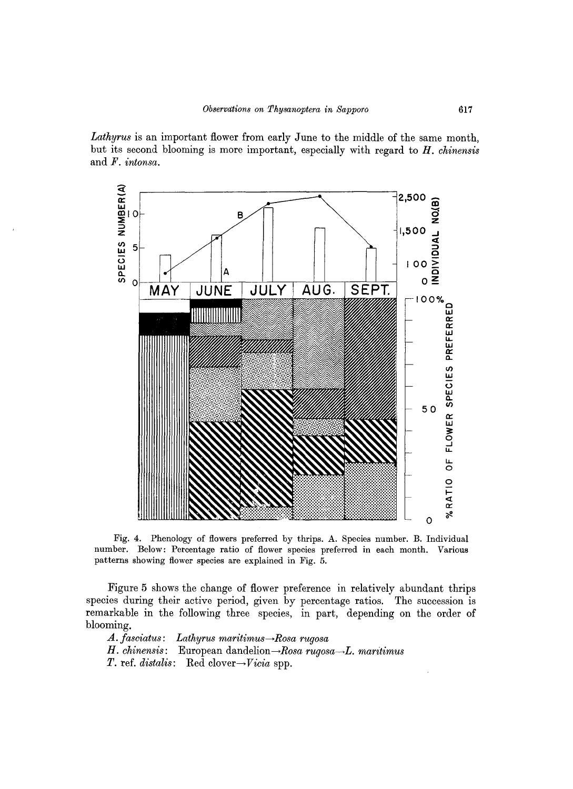*Lathyrus* is an important flower from early June to the middle of the same month, but its second blooming is more important, especially with regard to *H. chinensis*  and *F. intonsa.* 



Fig. 4. Phenology of flowers preferred by thrips. A. Species number. B. Individual number. Below: Percentage ratio of flower species preferred in each month. Various patterns showing flower species are explained in Fig. 5.

Figure 5 shows the change of flower preference in relatively abundant thrips species during their active period, given by percentage ratios. The succession is remarkable in the following three species, in part, depending on the order of blooming.

*A. fasciatus: Lathyrus maritimus→Rosa rugosa H. chinensis:* European dandelion→Rosa *rugosa→L. maritimus T*. ref. *distalis*: Red clover→*Vicia* spp.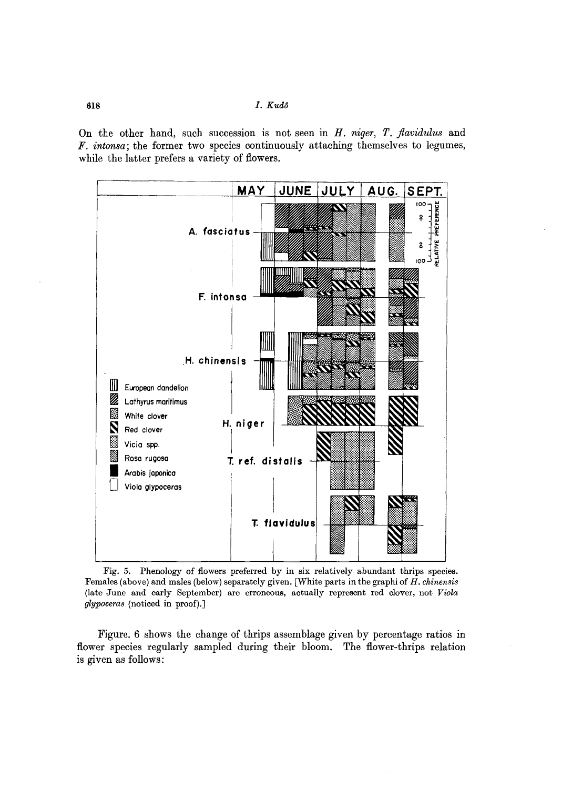618 *I. Kud6* 

On the other hand, such succession is not seen in *H. niger, T. flavidulus* and *F. intonsa;* the former two species continuously attaching themselves to legumes, while the latter prefers a variety of flowers.



Fig. 5. Phenology of flowers preferred by in six relatively abundant thrips species. Females (above) and males (below) separately given. [White parts in the graphi of *H. chinensis*  (late June and early September) are erroneous, aotually represent red olover, not *Viola ylypoceras* (noticed in proof).]

Figure. 6 shows the change of thrips assemblage given by percentage ratios in flower species regularly sampled during their bloom. The flower-thrips relation is given as follows: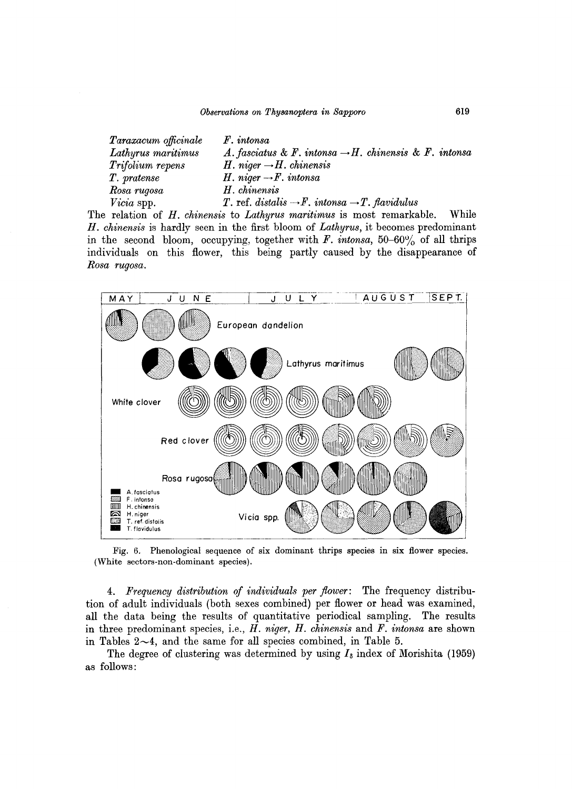| Taraxacum officinale | $F.$ intonsa                                                          |       |
|----------------------|-----------------------------------------------------------------------|-------|
| Lathyrus maritimus   | A. fasciatus & F. intonsa $\rightarrow$ H. chinensis & F. intonsa     |       |
| Trifolium repens     | H. niger $\rightarrow$ H. chinensis                                   |       |
| T. pratense          | H. niger $\rightarrow$ F. intonsa                                     |       |
| Rosa rugosa          | H. chinensis                                                          |       |
| <i>Vicia</i> spp.    | T. ref. distalis $\rightarrow$ F. intonsa $\rightarrow$ T. flavidulus |       |
|                      | relation of H chineses to Latherwis magicinesis most remarkable       | While |

The relation of *H. chinensis* to *Lathyrus maritimus* is most remarkable. While *H. chinensis* is hardly seen in the first bloom of *Lathyrus,* it becomes predominant in the second bloom, occupying, together with  $F$ . *intonsa*, 50-60% of all thrips individuals on this flower, this being partly caused by the disappearance of *Rosa rugosa .* 



Fig. 6. Phenological sequence of six dominant thrips species in six flower species. (White sectors-non-dominant species).

*4. Frequency distribution of individuals per jlower:* The frequency distribution of adult individuals (both sexes combined) per flower or head was examined, all the data being the results of quantitative periodical sampling. The results in three predominant species, i.e., *H. niger, H. chinensis* and *F. intonsa* are shown in Tables  $2 \sim 4$ , and the same for all species combined, in Table 5.

The degree of clustering was determined by using  $I_8$  index of Morishita (1959) as follows: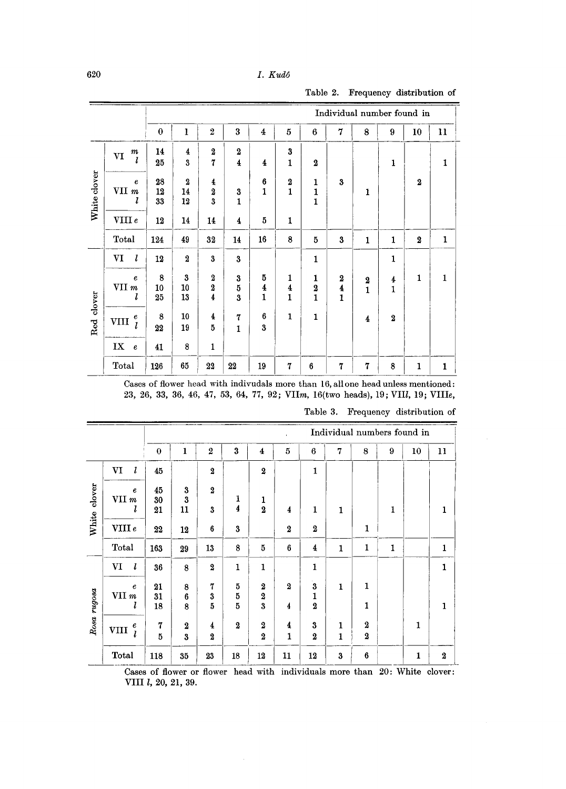|              |                                         |                |                              |                                                  |                                             |                                              |                            |                                               |                                   | Individual number found in                  |                                |                  |              |
|--------------|-----------------------------------------|----------------|------------------------------|--------------------------------------------------|---------------------------------------------|----------------------------------------------|----------------------------|-----------------------------------------------|-----------------------------------|---------------------------------------------|--------------------------------|------------------|--------------|
|              |                                         | $\bf{0}$       | 1                            | $\overline{2}$                                   | 3                                           | $\overline{4}$                               | 5                          | 6                                             | 7                                 | 8                                           | 9                              | 10               | 11           |
|              | $\boldsymbol{m}$<br>V <sub>I</sub><br>l | 14<br>25       | 4<br>$\boldsymbol{3}$        | $\boldsymbol{2}$<br>$\overline{7}$               | $\boldsymbol{2}$<br>$\overline{\mathbf{4}}$ | $\overline{\mathbf{4}}$                      | 3<br>$\mathbf{1}$          | $\boldsymbol{2}$                              |                                   |                                             | 1                              |                  | 1            |
| White clover | $\boldsymbol{e}$<br>VII m               | 28<br>12<br>33 | $\boldsymbol{2}$<br>14<br>12 | $\frac{4}{2}$<br>$\overline{\mathbf{3}}$         | 3<br>$\mathbf{1}$                           | $6\phantom{1}6$<br>$\mathbf{1}$              | $\frac{2}{1}$              | $\begin{smallmatrix}1\1\1\1\end{smallmatrix}$ | 3                                 | $\mathbf{1}$                                |                                | $\mathbf 2$      |              |
|              | VIII e                                  | 12             | 14                           | 14                                               | 4                                           | 5                                            | $\mathbf{1}$               |                                               |                                   |                                             |                                |                  |              |
|              | Total                                   | 124            | 49                           | 32                                               | 14                                          | 16                                           | 8                          | 5                                             | $\bf{3}$                          | $\mathbf{1}$                                | $\mathbf{1}$                   | $\boldsymbol{2}$ | $\mathbf{1}$ |
|              | l<br>VI                                 | 12             | $\overline{2}$               | $\bf{3}$                                         | $\bf{3}$                                    |                                              |                            | 1                                             |                                   |                                             | $\mathbf{1}$                   |                  |              |
| Red clover   | $\boldsymbol{e}$<br>VII m<br>l          | 8<br>10<br>25  | $\bf{3}$<br>10<br>13         | $\boldsymbol{2}$<br>$\overline{\mathbf{2}}$<br>4 | $\bf{3}$<br>5<br>$\overline{\mathbf{3}}$    | 5<br>$\overline{\mathbf{4}}$<br>$\mathbf{1}$ | 1<br>$\boldsymbol{4}$<br>1 | 1<br>$\boldsymbol{2}$<br>$\mathbf{1}$         | $\boldsymbol{2}$<br>$\frac{4}{1}$ | $\begin{smallmatrix}2\2\1\end{smallmatrix}$ | $\overline{4}$<br>$\mathbf{1}$ | 1                | $\mathbf{1}$ |
|              | $\pmb{e}$<br>VIII<br>$\mathcal{I}$      | 8<br>22        | 10<br>19                     | 4<br>5                                           | $\overline{7}$<br>$\mathbf{1}$              | 6<br>$\bf{3}$                                | $\mathbf{1}$               | 1                                             |                                   | $\overline{4}$                              | $\boldsymbol{2}$               |                  |              |
|              | IX<br>$\pmb{e}$                         | 41             | 8                            | $\mathbf{1}$                                     |                                             |                                              |                            |                                               |                                   |                                             |                                |                  |              |
|              | Total                                   | 126            | 65                           | 22                                               | 22                                          | 19                                           | 7                          | 6                                             | $\overline{7}$                    | $\mathbf 7$                                 | 8                              | $\mathbf{1}$     | $\mathbf 1$  |

Table 2. Frequency distribution of

Cases of flower head with indivudals more than 16, all one head unless mentioned: 23, 26, 33, 36, 46, 47, 53, 64, 77, 92; VIIm, 16(two heads), 19; VIII, 19; VIIIe,

|             |                                  |                |                              |                              |                |                                          |                                  |                                                     |              |                    |              | Individual numbers found in |                  |
|-------------|----------------------------------|----------------|------------------------------|------------------------------|----------------|------------------------------------------|----------------------------------|-----------------------------------------------------|--------------|--------------------|--------------|-----------------------------|------------------|
|             |                                  | $\bf{0}$       | ı                            | $\overline{2}$               | 3              | $\overline{4}$                           | 5                                | $6\phantom{.}6$                                     | 7            | 8                  | 9            | 10                          | 11               |
|             | VI<br>l                          | 45             |                              | $\overline{\mathbf{2}}$      |                | $\overline{\mathbf{2}}$                  |                                  | $\mathbf{1}$                                        |              |                    |              |                             |                  |
| clover      | $\pmb{e}$<br>VII m<br>l          | 45<br>30<br>21 | 3<br>3<br>11                 | $\boldsymbol{2}$<br>3        | 1<br>4         | 1<br>$\overline{\mathbf{2}}$             | 4                                | $\mathbf{1}$                                        | $\mathbf{1}$ |                    | $\mathbf{1}$ |                             | $\mathbf{1}$     |
| White       | VIII e                           | 22             | 12                           | 6                            | $\bf{3}$       |                                          | $\boldsymbol{2}$                 | 2                                                   |              | 1                  |              |                             |                  |
|             | Total                            | 163            | 29                           | 13                           | 8              | 5                                        | 6                                | $\overline{\mathbf{4}}$                             | $\mathbf{1}$ | $\mathbf{1}$       | 1            |                             | $\mathbf{1}$     |
|             | VI<br>l                          | 36             | 8                            | $\overline{\mathbf{2}}$      | $\mathbf{1}$   | $\mathbf{1}$                             |                                  | $\mathbf{1}$                                        |              |                    |              |                             | $\mathbf{1}$     |
| Rosa rugosa | $\boldsymbol{e}$<br>$VII$ m<br>l | 21<br>31<br>18 | 8<br>6<br>8                  | $\mathbf 7$<br>3<br>5        | 5<br>5<br>5    | $\boldsymbol{2}$<br>$\bf{2}$<br>$\bf{3}$ | $\overline{2}$<br>4              | $\bf{3}$<br>$\mathbf{1}$<br>$\overline{\mathbf{2}}$ | $\mathbf{1}$ | 1<br>1             |              |                             | $\mathbf{1}$     |
|             | e<br><b>VIII</b><br>ı            | 7<br>5         | $\boldsymbol{2}$<br>$\bf{3}$ | 4<br>$\overline{\mathbf{2}}$ | $\overline{2}$ | $\overline{2}$<br>$\boldsymbol{2}$       | $\boldsymbol{4}$<br>$\mathbf{1}$ | $\bf{3}$<br>$\boldsymbol{2}$                        | 1<br>1       | $\bf 2$<br>$\bf 2$ |              | $\mathbf{1}$                |                  |
|             | Total                            | 118            | 35                           | 23                           | 18             | 12                                       | 11                               | 12                                                  | $\bf{3}$     | 6                  |              | 1                           | $\boldsymbol{2}$ |

Table 3. Frequency distribution of

Cases of flower or flower head with individuals more than 20: White clover: VIII l, 20, 21, 39.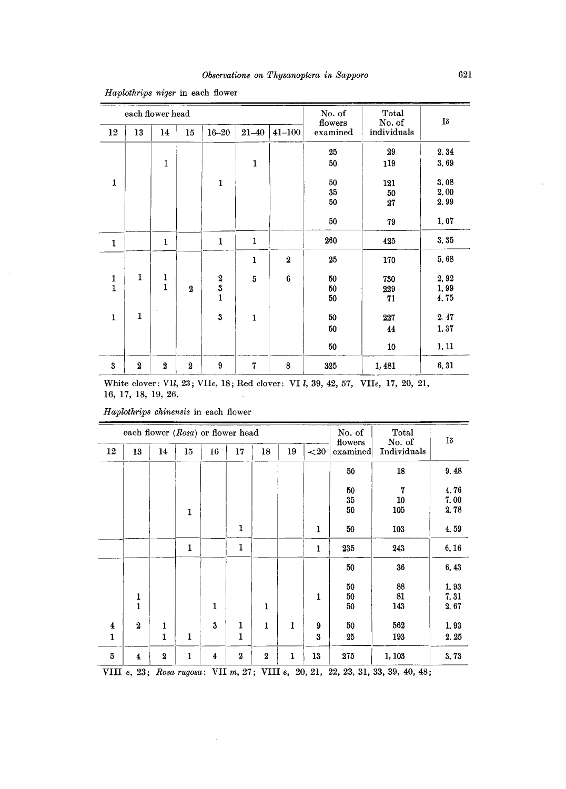|               |                  | each flower head |                         |                                          |                |                  | No. of<br>flowers | Total<br>No. of | Iδ                   |
|---------------|------------------|------------------|-------------------------|------------------------------------------|----------------|------------------|-------------------|-----------------|----------------------|
| 12            | 13               | 14               | 15                      | $16 - 20$                                | $21 - 40$      | $41 - 100$       | examined          | individuals     |                      |
|               |                  |                  |                         |                                          |                |                  | 25                | 29              | 2,34                 |
|               |                  | $\mathbf{1}$     |                         |                                          | $\mathbf{1}$   |                  | 50                | 119             | 3,69                 |
| $\mathbf{1}$  |                  |                  |                         | $\mathbf{1}$                             |                |                  | 50<br>35<br>50    | 121<br>50<br>27 | 3.08<br>2,00<br>2.99 |
|               |                  |                  |                         |                                          |                |                  | 50                | 79              | 1.07                 |
| $\mathbf 1$   |                  | 1                |                         | $\mathbf{1}$                             | $\mathbf{1}$   |                  | 260               | 425             | 3.35                 |
|               |                  |                  |                         |                                          | $\mathbf{1}$   | $\boldsymbol{2}$ | 25                | 170             | 5,68                 |
| $\frac{1}{1}$ | 1                | $\frac{1}{1}$    |                         |                                          | $\overline{5}$ | $\bf 6$          | 50                | 730             | 2,92                 |
|               |                  |                  | $\overline{\mathbf{2}}$ | $\begin{array}{c} 2 \ 3 \ 1 \end{array}$ |                |                  | 50<br>50          | 229<br>71       | 1,99<br>4.75         |
|               |                  |                  |                         |                                          |                |                  |                   |                 |                      |
| $\mathbf{1}$  | $\mathbf{1}$     |                  |                         | 3                                        | 1              |                  | 50                | 227             | 2.47                 |
|               |                  |                  |                         |                                          |                |                  | 50                | 44              | 1.37                 |
|               |                  |                  |                         |                                          |                |                  | 50                | 10              | 1.11                 |
| $\bf{3}$      | $\boldsymbol{2}$ | $\boldsymbol{2}$ | $\boldsymbol{2}$        | 9                                        | $\mathbf 7$    | 8                | 325               | 1,481           | 6,31                 |

*Haplothrips niger* in each flower

White clover: VIl, 23; VIle, 18; Red clover: VI l, 39, 42, 57, VIle, 17, 20, 21, 16, 17, 18, 19, 26.

|    | each flower (Rosa) or flower head |                  |              |    |                  | No. of           | Total | Iδ       |                     |                       |              |
|----|-----------------------------------|------------------|--------------|----|------------------|------------------|-------|----------|---------------------|-----------------------|--------------|
| 12 | 13                                | 14               | 15           | 16 | 17               | 18               | 19    | ${<}20$  | flowers<br>examined | No. of<br>Individuals |              |
|    |                                   |                  |              |    |                  |                  |       |          | 50                  | 18                    | 9.48         |
|    |                                   |                  |              |    |                  |                  |       |          | 50<br>35            | 7<br>10               | 4.76<br>7.00 |
|    |                                   |                  | 1            |    |                  |                  |       |          | 50                  | 105                   | 2.78         |
|    |                                   |                  |              |    | 1                |                  |       | 1        | 50                  | 103                   | 4,59         |
|    |                                   |                  | 1            |    | 1                |                  |       | 1        | 235                 | 243                   | 6.16         |
|    |                                   |                  |              |    |                  |                  |       |          | 50                  | 36                    | 6.43         |
|    |                                   |                  |              |    |                  |                  |       | 1        | 50<br>50            | 88<br>81              | 1,93<br>7.31 |
|    | $\frac{1}{1}$                     |                  |              | 1  |                  | 1                |       |          | 50                  | 143                   | 2,67         |
| 4  | $\boldsymbol{2}$                  | $\mathbf{1}$     |              | 3  | 1                | $\mathbf{1}$     | 1     | 9        | 50                  | 562                   | 1,93         |
| 1  |                                   | $\mathbf 1$      | $\mathbf{1}$ |    | 1                |                  |       | $\bf{3}$ | 25                  | 193                   | 2.25         |
| 5  | 4                                 | $\boldsymbol{2}$ | 1            | 4  | $\boldsymbol{2}$ | $\boldsymbol{2}$ | 1     | 13       | 275                 | 1, 103                | 3.73         |

*H aplothrips ohinensis* in each flower

VIII *e,* 23; *Rosa rugosa:* VII *m,* 27; VIII *e,* 20, 21, 22, 23, 31, 33, 39, 40, 48;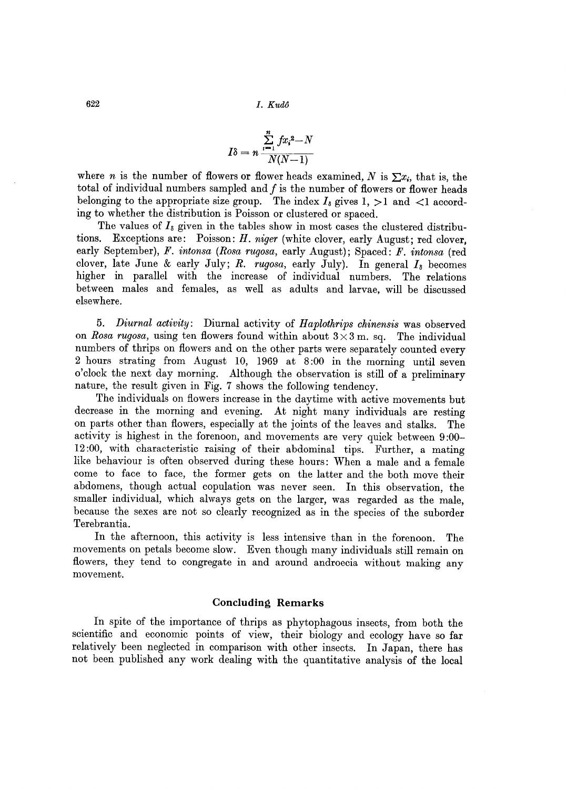622 *I. Kudo* 

$$
I\delta = n \frac{\sum\limits_{i=1}^{n} fx_i^2 - N}{N(N-1)}
$$

where *n* is the number of flowers or flower heads examined, N is  $\sum x_i$ , that is, the total of individual numbers sampled and  $f$  is the number of flowers or flower heads belonging to the appropriate size group. The index  $I_8$  gives 1,  $>1$  and  $<1$  according to whether the distribution is Poisson or clustered or spaced.

The values of  $I_8$  given in the tables show in most cases the clustered distributions. Exceptions are: Poisson: *H. niger* (white clover, early August; red clover, early September), *F. intonsa (Rosa rugosa,* early August); Spaced: *F. intonsa* (red clover, late June & early July; *R. rugosa*, early July). In general  $I_8$  becomes higher in parallel with the increase of individual numbers. The relations between males and females, as well as adults and larvae, will be discussed elsewhere.

*5. Diurnal activity:* Diurnal activity of *Haplothrips chinensis* was observed on *Rosa rugosa*, using ten flowers found within about  $3 \times 3$  m. sq. The individual numbers of thrips on flowers and on the other parts were separately counted every 2 hours strating from August 10, 1969 at 8:00 in the morning until seven o'clock the next day morning. Although the observation is still of a preliminary nature, the result given in Fig. 7 shows the following tendency.

The individuals on flowers increase in the daytime with active movements but decrease in the morning and evening. At night many individuals are resting on parts other than flowers, especially at the joints of the leaves and stalks. The activity is highest in the forenoon, and movements are very quick between 9 :00- 12 :00, with characteristic raising of their abdominal tips. Further, a mating like behaviour is often observed during these hours: When a male and a female come to face to face, the former gets on the latter and the both move their abdomens, though actual copulation was never seen. In this observation, the smaller individual, which always gets on the larger, was regarded as the male, because the sexes are not so clearly recognized as in the species of the suborder Terebrantia.

In the afternoon, this activity is less intensive than in the forenoon. The movements on petals become slow. Even though many individuals still remain on flowers, they tend to congregate in and around androecia without making any movement.

#### **Concluding Remarks**

In spite of the importance of thrips as phytophagous insects, from both the scientific and economic points of view, their biology and ecology have so far relatively been neglected in comparison with other insects. In Japan, there has not been published any work dealing with the quantitative analysis of the local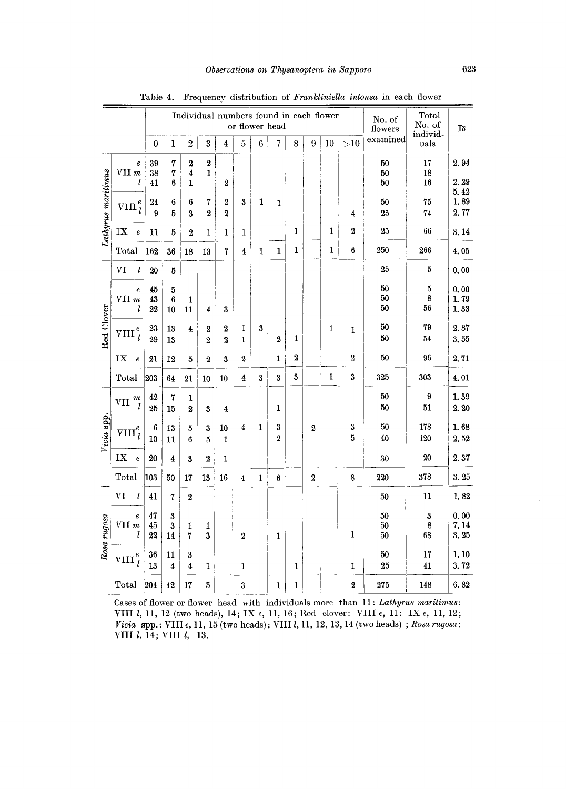|                    |                                           |                | Individual numbers found in each flower<br>or flower head |                              |                                  |                       |                  |         |                     |              |                         |              |                         | No. of<br>flowers | Total<br>No. of<br>individ- | Iδ                   |
|--------------------|-------------------------------------------|----------------|-----------------------------------------------------------|------------------------------|----------------------------------|-----------------------|------------------|---------|---------------------|--------------|-------------------------|--------------|-------------------------|-------------------|-----------------------------|----------------------|
|                    |                                           | $\bf{0}$       | ı                                                         | $\,2\,$                      | $\boldsymbol{3}$                 | 4                     | 5                | $\,6\,$ | 7                   | 8            | 9                       | 10           | >10                     | examined          | uals                        |                      |
|                    | $\pmb{e}$<br>VII m<br>l                   | 39<br>38<br>41 | 7<br>7<br>6                                               | $\boldsymbol{2}$<br>4<br>1   | $\boldsymbol{2}$<br>$\mathbf{1}$ | $\boldsymbol{2}$      |                  |         |                     |              |                         |              |                         | 50<br>50<br>50    | 17<br>18<br>16              | 2.94<br>2, 29        |
| Lathyrus maritimus | $\mathrm{vnn}_l^e$                        | 24<br>9        | 6<br>5                                                    | 6<br>3                       | 7<br>$\boldsymbol{2}$            | $\boldsymbol{2}$<br>2 | $\mathbf{3}$     | 1       | 1                   |              |                         |              | $\overline{\textbf{4}}$ | 50<br>25          | 75<br>74                    | 5.42<br>1,89<br>2,77 |
|                    | IX<br>$\boldsymbol{e}$                    | 11             | 5                                                         | $\mathbf 2$                  | 1                                | 1                     | 1                |         |                     | 1            |                         | 1            | $\boldsymbol{2}$        | 25                | 66                          | 3.14                 |
|                    | Total                                     | 162            | 36                                                        | 18                           | 13                               | 7                     | $\overline{4}$   | 1       | 1                   | $\mathbf{1}$ |                         | $\mathbf{1}$ | 6                       | 250               | 266                         | 4.05                 |
|                    | l<br>VI                                   | 20             | 5                                                         |                              |                                  |                       |                  |         |                     |              |                         |              |                         | 25                | 5                           | 0.00                 |
|                    | $\epsilon$<br>VII m<br>l                  | 45<br>43<br>22 | 5<br>$\boldsymbol{6}$<br>10                               | 1<br>11                      | 4                                | 3                     |                  |         |                     |              |                         |              |                         | 50<br>50<br>50    | 5<br>8<br>56                | 0.00<br>1.79<br>1,33 |
| Red Clover         | $\pmb{e}$<br><b>VIII</b><br>$\mathcal{I}$ | 23<br>29       | 13<br>13                                                  | 4                            | 2<br>$\mathbf{2}$                | 2<br>$\overline{2}$   | 1<br>1           | 3       | $\overline{2}$      | 1            |                         | 1            | 1                       | 50<br>50          | 79<br>54                    | 2.87<br>3.55         |
|                    | ${\bf I}{\bf X}$<br>$\pmb{e}$             | 21             | 12                                                        | 5                            | $\boldsymbol{2}$                 | 3                     | $\boldsymbol{2}$ |         | 1                   | 2            |                         |              | $\boldsymbol{2}$        | 50                | 96                          | 2.71                 |
|                    | Total                                     | 203            | 64                                                        | 21                           | 10                               | 10                    | 4                | 3       | $\boldsymbol{3}$    | $\mathbf{3}$ |                         | $\mathbf{1}$ | $\mathbf 3$             | 325               | 303                         | 4.01                 |
|                    | $\it m$<br>VII<br>l                       | 42<br>25       | $\boldsymbol{7}$<br>15                                    | 1<br>2                       | 3                                | 4                     |                  |         | 1                   |              |                         |              |                         | 50<br>50          | 9<br>51                     | 1,39<br>2, 20        |
| Vicia spp.         | $\mathrm{VIII}_l^e$                       | 6<br>10        | 13<br>11                                                  | $\bf 5$<br>6                 | 3<br>5                           | 10<br>1               | 4                | 1       | 3<br>$\overline{2}$ |              | $\overline{\mathbf{2}}$ |              | $\boldsymbol{3}$<br>5   | 50<br>40          | 178<br>120                  | 1.68<br>2,52         |
|                    | IX<br>$\pmb{e}$                           | 20             | $\overline{4}$                                            | 3                            | $\overline{2}$                   | 1                     |                  |         |                     |              |                         |              |                         | 30                | 20                          | 2.37                 |
|                    | Total                                     | 103            | 50                                                        | 17                           | 13                               | 16                    | 4                | 1       | 6                   |              | $\bf 2$                 |              | 8                       | 220               | 378                         | 3, 25                |
|                    | VI<br>l                                   | 41             | $\bf 7$                                                   | $\boldsymbol{2}$             |                                  |                       |                  |         |                     |              |                         |              |                         | 50                | 11                          | 1,82                 |
| Rosa rugosa        | $\pmb{e}$<br>VII m<br>l                   | 47<br>45<br>22 | $\boldsymbol{3}$<br>$\boldsymbol{3}$<br>14                | 1<br>$\mathbf 7$             | 1<br>3                           |                       | $\boldsymbol{2}$ |         | $\mathbf{1}$        |              |                         |              | 1                       | 50<br>50<br>50    | $\bf{3}$<br>8<br>68         | 0.00<br>7.14<br>3.25 |
|                    | $\mathrm{VIII} \,{}^{e}_{\tau}$           | 36<br>13       | 11<br>4                                                   | 3<br>$\overline{\mathbf{4}}$ | 1                                |                       | $\mathbf{1}$     |         |                     | 1            |                         |              | 1                       | 50<br>25          | 17<br>41                    | 1, 10<br>3.72        |
|                    | Total                                     | 204            | 42                                                        | 17                           | 5                                |                       | $\boldsymbol{3}$ |         | $\mathbf{1}$        | 1            |                         |              | $\overline{2}$          | 275               | 148                         | 6.82                 |

Table 4. Frequency distribution of Frankliniella intonsa in each flower

Cases of flower or flower head with individuals more than 11: Lathyrus maritimus: VIII  $l$ , 11, 12 (two heads), 14; IX  $e$ , 11, 16; Red clover: VIII  $e$ , 11: IX  $e$ , 11, 12; Vicia spp.: VIII  $e$ , 11, 15 (two heads); VIII  $l$ , 11, 12, 13, 14 (two heads); Rosa rugosa: VIII *l*, 14; VIII *l*, 13.

 $\overline{a}$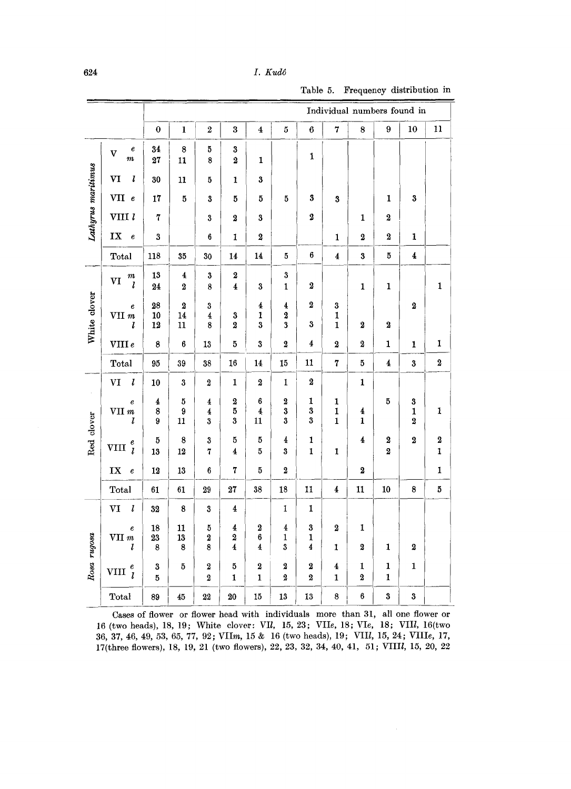## $I.$  Kudô

Table 5. Frequency distribution in

|                    |                                           | Individual numbers found in |                                       |                                                |                                    |                                               |                                                                                                |                                                     |                                         |                              |                         |                                               |                                 |  |
|--------------------|-------------------------------------------|-----------------------------|---------------------------------------|------------------------------------------------|------------------------------------|-----------------------------------------------|------------------------------------------------------------------------------------------------|-----------------------------------------------------|-----------------------------------------|------------------------------|-------------------------|-----------------------------------------------|---------------------------------|--|
|                    |                                           | $\mathbf 0$                 | $\mathbf{l}$                          | $\bf 2$                                        | $\bf{3}$                           | $\overline{\mathbf{4}}$                       | $\bf 5$                                                                                        | $\boldsymbol{6}$                                    | 7                                       | $\bf 8$                      | 9                       | 10                                            | 11                              |  |
|                    | $\pmb{e}$<br>$\overline{\mathbf{V}}$<br>m | 34<br>27                    | $\bf 8$<br>$\overline{11}$            | $\bf 5$<br>$\bf8$                              | $\bf 3$<br>$\bf 2$                 | $\mathbf 1$                                   |                                                                                                | $\pmb{1}$                                           |                                         |                              |                         |                                               |                                 |  |
| Lathyrus maritimus | VI<br>l                                   | 30                          | 11                                    | 5                                              | 1                                  | $\bf{3}$                                      |                                                                                                |                                                     |                                         |                              |                         |                                               |                                 |  |
|                    | VII e                                     | 17                          | $\bf 5$                               | 3                                              | 5                                  | $\bf{5}$                                      | 5                                                                                              | 3                                                   | 3                                       |                              | 1                       | $\bf{3}$                                      |                                 |  |
|                    | VIII l                                    | $\pmb{7}$                   |                                       | $\bf 3$                                        | $\boldsymbol{2}$                   | $\bf{3}$                                      |                                                                                                | 2                                                   |                                         | $\mathbf{1}$                 | $\overline{\mathbf{2}}$ |                                               |                                 |  |
|                    | ${\bf I}{\bf X}$<br>$\boldsymbol{e}$      | $\bf{3}$                    |                                       | $\boldsymbol{6}$                               | $\mathbf 1$                        | $\boldsymbol{2}$                              |                                                                                                |                                                     | $\mathbf{1}$                            | $\boldsymbol{2}$             | $\bf 2$                 | $\mathbf{1}$                                  |                                 |  |
|                    | Total                                     | 118                         | 35                                    | 30                                             | 14                                 | 14                                            | $\bf 5$                                                                                        | $\bf 6$                                             | $\overline{\mathbf{4}}$                 | $\bf 3$                      | 5                       | $\boldsymbol{4}$                              |                                 |  |
|                    | $\frac{m}{l}$<br>VI                       | 13<br>24                    | $\pmb{4}$<br>$\overline{\mathbf{2}}$  | $\bf 3$<br>8                                   | $\bf 2$<br>$\overline{\mathbf{4}}$ | 3                                             | $\bf{3}$<br>$\mathbf{1}$                                                                       | 2                                                   |                                         | $\mathbf{1}$                 | 1                       |                                               | $\mathbf{1}$                    |  |
| White clover       | e<br>VII $m$<br>ı                         | 28<br>10<br>12              | $\overline{2}$<br>14<br>$\mathbf{11}$ | $\bf{3}$<br>$\pmb{4}$<br>8                     | 3<br>$\overline{2}$                | $\overline{\mathbf{4}}$<br>$\mathbf{1}$<br>3  | $\overline{\mathbf{4}}$<br>$\overline{\mathbf{2}}$<br>3                                        | $\boldsymbol{2}$<br>3                               | $\bf 3$<br>$\mathbf{1}$<br>1            | $\boldsymbol{2}$             | $\overline{\mathbf{2}}$ | $\overline{\mathbf{2}}$                       |                                 |  |
|                    | VIIIe                                     | $\boldsymbol{8}$            | $\boldsymbol{6}$                      | 13                                             | $\bf 5$                            | 3                                             | $\overline{\mathbf{2}}$                                                                        | $\boldsymbol{4}$                                    | $\bf 2$                                 | $\bf 2$                      | $\mathbf 1$             | $\mathbf{1}$                                  | 1                               |  |
|                    | Total                                     | 95                          | 39                                    | 38                                             | 16                                 | 14                                            | 15                                                                                             | 11                                                  | $\overline{\bf 7}$                      | 5                            | $\boldsymbol{4}$        | $\overline{\mathbf{3}}$                       | $\pmb{2}$                       |  |
|                    | $\boldsymbol{l}$<br>$\rm{VI}$             | 10                          | 3                                     | $\bf 2$                                        | $\mathbf{1}$                       | $\overline{\mathbf{2}}$                       | $\mathbf{1}$                                                                                   | $\bf 2$                                             |                                         | $\mathbf 1$                  |                         |                                               |                                 |  |
|                    | $\pmb{e}$<br>VII $\it{m}$<br>l            | 4<br>8<br>9                 | 5<br>9<br>11                          | $\overline{\mathbf{4}}$<br>$\overline{4}$<br>3 | $\bf 2$<br>$\overline{5}$<br>3     | $\bf{6}$<br>$\overline{4}$<br>11              | $\overline{\mathbf{2}}$<br>3<br>$\bf{3}$                                                       | $\mathbf{1}$<br>3<br>3                              | 1<br>1<br>$\mathbf{1}$                  | 4<br>1                       | 5                       | ${\bf 3}$<br>$\mathbf{1}$<br>$\boldsymbol{2}$ | $\mathbf 1$                     |  |
| Red clover         | VIII $_l^e$                               | 5<br>13                     | 8<br>12                               | $\bf{3}$<br>7                                  | 5<br>4                             | 5<br>5                                        | $\pmb{4}$<br>$\bf 3$                                                                           | 1<br>$\mathbf{1}$                                   | 1                                       | $\overline{\mathbf{4}}$      | 2<br>$\boldsymbol{2}$   | $\overline{\mathbf{2}}$                       | $\boldsymbol{2}$<br>$\mathbf 1$ |  |
|                    | IX<br>$\pmb{e}$                           | 12                          | 13                                    | 6                                              | $\overline{\mathbf{r}}$            | 5                                             | $\overline{\mathbf{2}}$                                                                        |                                                     |                                         | $\overline{\mathbf{2}}$      |                         |                                               | $\mathbf{I}$                    |  |
|                    | Total                                     | $\bf{61}$                   | 61                                    | $\bf 29$                                       | $\bf 27$                           | 38                                            | 18                                                                                             | 11                                                  | 4                                       | $\bf 11$                     | ${\bf 10}$              | 8                                             | $\bf 5$                         |  |
|                    | $\pmb{l}$<br>VI                           | 32                          | 8                                     | $\bf{3}$                                       | $\bf 4$                            |                                               | $\mathbf{1}% _{T}\left  \mathbf{1}\right\rangle =\mathbf{1}_{T}\left  \mathbf{1}\right\rangle$ | $\mathbf{1}$                                        |                                         |                              |                         |                                               |                                 |  |
| Rosa rugosa        | $\pmb{e}$<br>VII m<br>l                   | 18<br>23<br>$\bf8$          | 11<br>13<br>8                         | $\bf 5$<br>$\boldsymbol{2}$<br>8               | 4<br>2<br>4                        | $\bf 2$<br>$\bf 6$<br>$\overline{\mathbf{4}}$ | $\overline{\mathbf{4}}$<br>1<br>3                                                              | $\bf{3}$<br>$\mathbf{1}$<br>$\overline{\mathbf{4}}$ | $\boldsymbol{2}$<br>1                   | 1<br>$\bf 2$                 | 1                       | $\bf{2}$                                      |                                 |  |
|                    | VIII $\frac{e}{l}$                        | $\bf{3}$<br>$\bf 5$         | $\bf 5$                               | $\overline{\mathbf{2}}$<br>$\bf 2$             | 5<br>1                             | $\overline{\mathbf{2}}$<br>$\mathbf 1$        | $\boldsymbol{2}$<br>$\bf 2$                                                                    | $\bf{2}$<br>$\boldsymbol{2}$                        | $\overline{\textbf{4}}$<br>$\mathbf{1}$ | 1<br>$\overline{\mathbf{2}}$ | 1<br>$\mathbf{1}$       | $\mathbf{1}$                                  |                                 |  |
|                    | Total                                     | 89                          | 45                                    | $\bf{22}$                                      | $20\,$                             | ${\bf 15}$                                    | 13                                                                                             | 13                                                  | 8                                       | 6                            | $\boldsymbol{3}$        | $\bf 3$                                       |                                 |  |

Cases of flower or flower head with individuals more than 31, all one flower or 16 (two heads), 18, 19; White clover: VII, 15, 23; VIIe, 18; VIe, 18; VIII, 16(two 36, 37, 46, 49, 53, 65, 77, 92; VIIm, 15 & 16 (two heads), 19; VIII, 15, 24; VIIIe, 17, 17(three flowers), 18, 19, 21 (two flowers), 22, 23, 32, 34, 40, 41, 51; VIIII, 15, 20, 22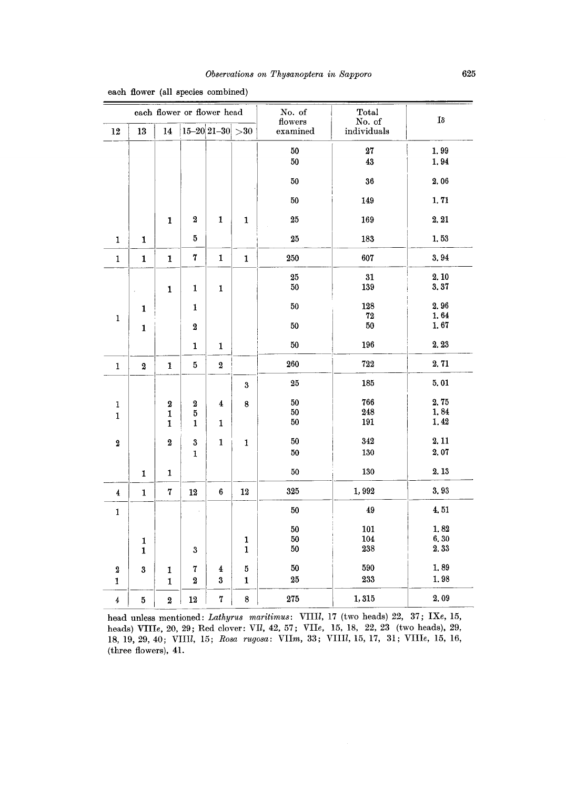|              | each flower or flower head |                         |                  |                                                  |                  | No. of<br>flowers | Total<br>No. of | $I\delta$ |
|--------------|----------------------------|-------------------------|------------------|--------------------------------------------------|------------------|-------------------|-----------------|-----------|
| $12\,$       | ${\bf 13}$                 | 14                      |                  | $15 - 20$ 21-30 > 30                             |                  | examined          | individuals     |           |
|              |                            |                         |                  |                                                  |                  | 50                | $\bf 27$        | 1.99      |
|              |                            |                         |                  |                                                  |                  | $50\,$            | 43              | 1.94      |
|              |                            |                         |                  |                                                  |                  | $50\,$            | 36              | 2.06      |
|              |                            |                         |                  |                                                  |                  | 50                | 149             | 1.71      |
|              |                            | $\mathbf{1}$            | $\boldsymbol{2}$ | $\mathbf{1}$                                     | $\mathbf 1$      | 25                | 169             | 2.21      |
| 1            | 1                          |                         | 5                |                                                  |                  | $\bf 25$          | 183             | 1,53      |
| $\mathbf 1$  | $\mathbf 1$                | $\mathbf 1$             | $\pmb{7}$        | $\mathbf{1}% _{T}\left  \mathbf{1}\right\rangle$ | $\mathbf 1$      | 250               | 607             | 3.94      |
|              |                            |                         |                  |                                                  |                  | 25                | 31              | 2.10      |
|              |                            | $\mathbf{1}$            | 1                | $\mathbf{1}$                                     |                  | $50\,$            | 139             | 3.37      |
|              | 1                          |                         | 1                |                                                  |                  | 50                | 128             | 2.96      |
| 1            |                            |                         |                  |                                                  |                  |                   | $\bf 72$        | 1.64      |
|              | $\mathbf{1}$               |                         | $\boldsymbol{2}$ |                                                  |                  | 50                | 50              | 1.67      |
|              |                            |                         | 1                | $\mathbf{1}$                                     |                  | 50                | 196             | 2.23      |
| $\mathbf 1$  | $\bf 2$                    | $\mathbf{1}$            | 5                | $\bf 2$                                          |                  | 260               | 722             | 2.71      |
|              |                            |                         |                  |                                                  | $\bf{3}$         | 25                | 185             | 5.01      |
| $\mathbf 1$  |                            | $\boldsymbol{2}$        | $\bf 2$          | 4                                                | $\bf 8$          | 50                | 766             | 2.75      |
| $\mathbf{1}$ |                            | $\mathbf 1$             | 5                |                                                  |                  | 50                | 248             | 1,84      |
|              |                            | $\mathbf{I}$            | 1                | 1                                                |                  | 50                | 191             | 1.42      |
| $\pmb{2}$    |                            | $\bf 2$                 | $\boldsymbol{3}$ | $\mathbf{1}$                                     | 1                | 50                | 342             | 2.11      |
|              |                            |                         | $\mathbf 1$      |                                                  |                  | $50\,$            | 130             | 2.07      |
|              | 1                          | 1                       |                  |                                                  |                  | 50                | 130             | 2.13      |
| 4            | $\mathbf 1$                | 7                       | 12               | $\bf 6$                                          | 12               | 325               | 1,992           | 3,93      |
| $\mathbf{1}$ |                            |                         |                  |                                                  |                  | 50                | 49              | 4,51      |
|              |                            |                         |                  |                                                  |                  | 50                | 101             | 1.82      |
|              | $\mathbf 1$                |                         |                  |                                                  | $\mathbf{1}$     | 50                | 104             | 6,30      |
|              | $\mathbf{1}$               |                         | $\boldsymbol{3}$ |                                                  | $\mathbf{1}$     | 50                | 238             | 2.33      |
| $\bf 2$      | 3                          | 1                       | 7                | $\overline{\textbf{4}}$                          | 5                | $50\,$            | 590             | 1,89      |
| 1            |                            | $\mathbf 1$             | $\boldsymbol{2}$ | 3                                                | $\mathbf 1$      | ${\bf 25}$        | 233             | 1.98      |
| $\pmb{4}$    | 5                          | $\overline{\mathbf{2}}$ | $12\,$           | $\overline{7}$                                   | $\boldsymbol{8}$ | 275               | 1,315           | 2,09      |

each flower (all species combined)

head unless mentioned: *Lathyru8 maritimus:* VIlIl, 17 (two heads) 22, 37; IXe, 15, heads) VIII<sub>e</sub>, 20, 29; Red clover: VII, 42, 57; VII<sub>e</sub>, 15, 18, 22, 23 (two heads), 29, 18,19,29,40; VIlIl, 15; *Rosa rugosa:* VIlm, 33; VIlIl, 15, 17, 31; VIlle, 15,16, (three flowers), 41.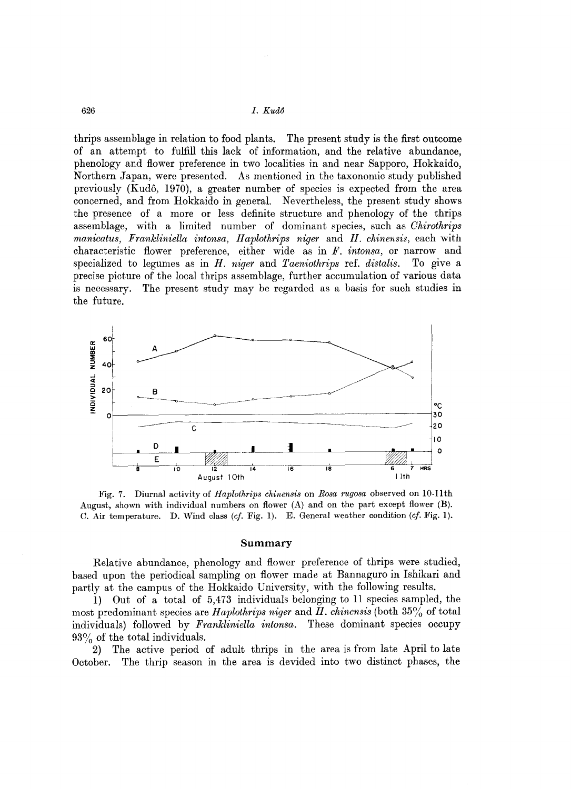626 1. *Kud8* 

thrips assemblage in relation to food plants. The present study is the first outcome of an attempt to fulfill this lack of information, and the relative abundance, phenology and flower preference in two localities in and near Sapporo, Hokkaido, Northern Japan, were presented. As mentioned in the taxonomic study published previously (Kudo, 1970), a greater number of species is expected from the area concerned, and from Hokkaido in general. Nevertheless, the present study shows the presence of a more or less definite structure and phenology of the thrips assemblage, with a limited number of dominant species, such as *Ohirothrips manicatus, Frankliniella intonsa, Haplothrips niger* and *H. chinensis,* each with characteristic flower preference, either wide as in *F. intonsa,* or narrow and specialized to legumes as in *H. niger* and *Taeniothrips* ref. *distalis.* To give a precise picture of the local thrips assemblage, further accumulation of various data is necessary. The present study may be regarded as a basis for such studies in the future.



Fig. 7. Diurnal activity of *Haplothrips chinensis* on *Rosa rugosa* observed on lO-Ilth August, shown with individual numbers on flower (A) and on the part except flower (B). C. Air temperature. D. Wind class *(ef.* Fig. 1). E. General weather condition *(ef.* Fig. 1).

#### **Summary**

Relative abundance, phenology and flower preference of thrips were studied, based upon the periodical sampling on flower made at Bannaguro in Ishikari and partly at the campus of the Hokkaido University, with the following results.

1) Out of a total of 5,473 individuals belonging to 11 species sampled, the most predominant species are *Haplothrips niger* and *H. chinensis* (both 35% of total individuals) followed by *Frankliniella intonsa.* These dominant species occupy 93% of the total individuals.

2) The active period of adult thrips in the area is from late April to late October. The thrip season in the area is devided into two distinct phases, the